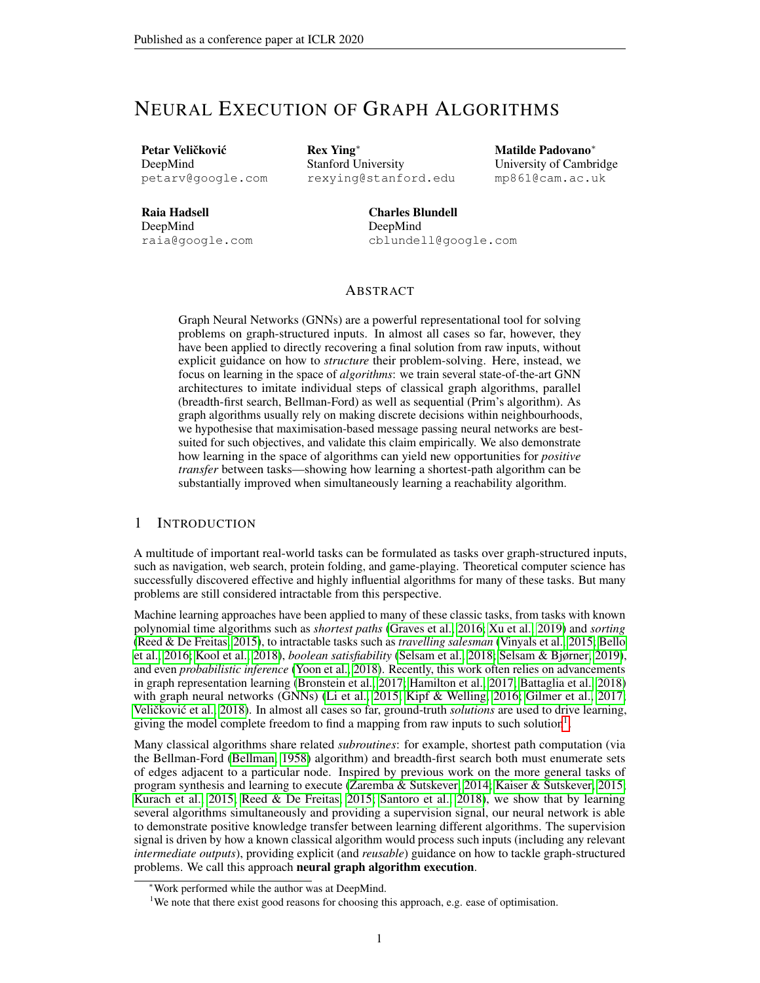# NEURAL EXECUTION OF GRAPH ALGORITHMS

Petar Veličković DeepMind petarv@google.com Rex Ying∗ Stanford University rexying@stanford.edu

Matilde Padovano∗ University of Cambridge mp861@cam.ac.uk

Raia Hadsell DeepMind raia@google.com

Charles Blundell DeepMind cblundell@google.com

### ABSTRACT

Graph Neural Networks (GNNs) are a powerful representational tool for solving problems on graph-structured inputs. In almost all cases so far, however, they have been applied to directly recovering a final solution from raw inputs, without explicit guidance on how to *structure* their problem-solving. Here, instead, we focus on learning in the space of *algorithms*: we train several state-of-the-art GNN architectures to imitate individual steps of classical graph algorithms, parallel (breadth-first search, Bellman-Ford) as well as sequential (Prim's algorithm). As graph algorithms usually rely on making discrete decisions within neighbourhoods, we hypothesise that maximisation-based message passing neural networks are bestsuited for such objectives, and validate this claim empirically. We also demonstrate how learning in the space of algorithms can yield new opportunities for *positive transfer* between tasks—showing how learning a shortest-path algorithm can be substantially improved when simultaneously learning a reachability algorithm.

### 1 INTRODUCTION

A multitude of important real-world tasks can be formulated as tasks over graph-structured inputs, such as navigation, web search, protein folding, and game-playing. Theoretical computer science has successfully discovered effective and highly influential algorithms for many of these tasks. But many problems are still considered intractable from this perspective.

Machine learning approaches have been applied to many of these classic tasks, from tasks with known polynomial time algorithms such as *shortest paths* [\(Graves et al., 2016;](#page-9-0) [Xu et al., 2019\)](#page-10-0) and *sorting* [\(Reed & De Freitas, 2015\)](#page-9-1), to intractable tasks such as *travelling salesman* [\(Vinyals et al., 2015;](#page-10-1) [Bello](#page-8-0) [et al., 2016;](#page-8-0) [Kool et al., 2018\)](#page-9-2), *boolean satisfiability* [\(Selsam et al., 2018;](#page-9-3) [Selsam & Bjørner, 2019\)](#page-9-4), and even *probabilistic inference* [\(Yoon et al., 2018\)](#page-10-2). Recently, this work often relies on advancements in graph representation learning [\(Bronstein et al., 2017;](#page-8-1) [Hamilton et al., 2017;](#page-9-5) [Battaglia et al., 2018\)](#page-8-2) with graph neural networks (GNNs) [\(Li et al., 2015;](#page-9-6) [Kipf & Welling, 2016;](#page-9-7) [Gilmer et al., 2017;](#page-9-8) Veličković et al., [2018\)](#page-10-3). In almost all cases so far, ground-truth *solutions* are used to drive learning, giving the model complete freedom to find a mapping from raw inputs to such solution<sup>[1](#page-0-0)</sup>.

Many classical algorithms share related *subroutines*: for example, shortest path computation (via the Bellman-Ford [\(Bellman, 1958\)](#page-8-3) algorithm) and breadth-first search both must enumerate sets of edges adjacent to a particular node. Inspired by previous work on the more general tasks of program synthesis and learning to execute [\(Zaremba & Sutskever, 2014;](#page-10-4) [Kaiser & Sutskever, 2015;](#page-9-9) [Kurach et al., 2015;](#page-9-10) [Reed & De Freitas, 2015;](#page-9-1) [Santoro et al., 2018\)](#page-9-11), we show that by learning several algorithms simultaneously and providing a supervision signal, our neural network is able to demonstrate positive knowledge transfer between learning different algorithms. The supervision signal is driven by how a known classical algorithm would process such inputs (including any relevant *intermediate outputs*), providing explicit (and *reusable*) guidance on how to tackle graph-structured problems. We call this approach neural graph algorithm execution.

<sup>∗</sup>Work performed while the author was at DeepMind.

<span id="page-0-0"></span><sup>&</sup>lt;sup>1</sup>We note that there exist good reasons for choosing this approach, e.g. ease of optimisation.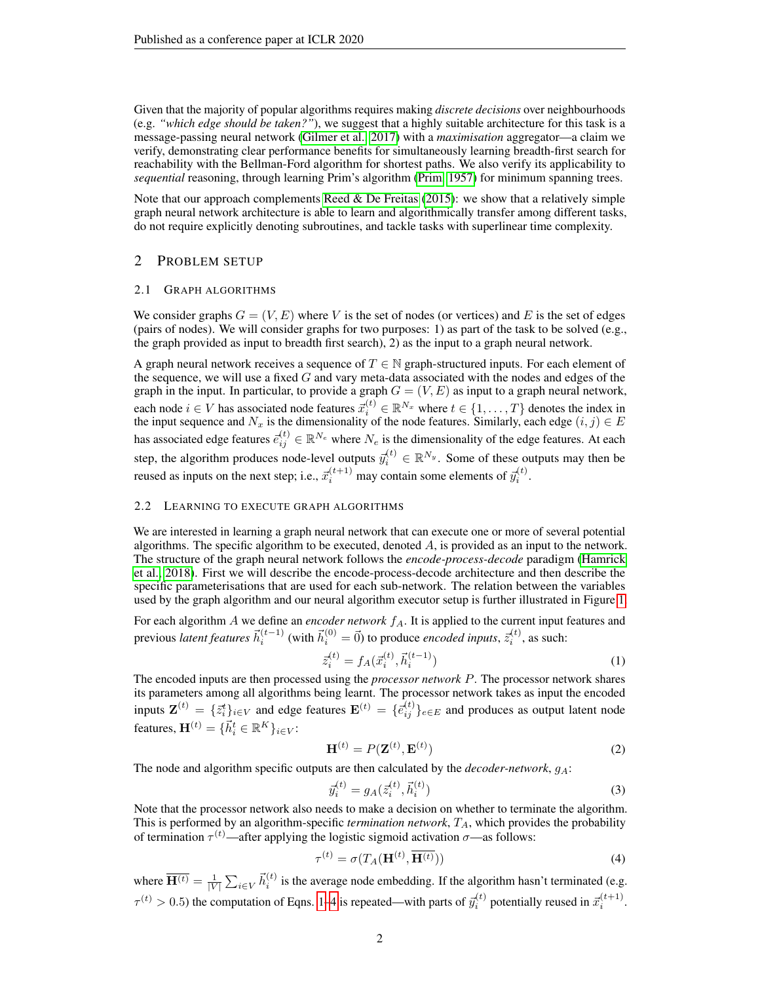Given that the majority of popular algorithms requires making *discrete decisions* over neighbourhoods (e.g. *"which edge should be taken?"*), we suggest that a highly suitable architecture for this task is a message-passing neural network [\(Gilmer et al., 2017\)](#page-9-8) with a *maximisation* aggregator—a claim we verify, demonstrating clear performance benefits for simultaneously learning breadth-first search for reachability with the Bellman-Ford algorithm for shortest paths. We also verify its applicability to *sequential* reasoning, through learning Prim's algorithm [\(Prim, 1957\)](#page-9-12) for minimum spanning trees.

Note that our approach complements Reed  $&$  De Freitas [\(2015\)](#page-9-1): we show that a relatively simple graph neural network architecture is able to learn and algorithmically transfer among different tasks, do not require explicitly denoting subroutines, and tackle tasks with superlinear time complexity.

### 2 PROBLEM SETUP

#### 2.1 GRAPH ALGORITHMS

We consider graphs  $G = (V, E)$  where V is the set of nodes (or vertices) and E is the set of edges (pairs of nodes). We will consider graphs for two purposes: 1) as part of the task to be solved (e.g., the graph provided as input to breadth first search), 2) as the input to a graph neural network.

A graph neural network receives a sequence of  $T \in \mathbb{N}$  graph-structured inputs. For each element of the sequence, we will use a fixed  $G$  and vary meta-data associated with the nodes and edges of the graph in the input. In particular, to provide a graph  $G = (V, E)$  as input to a graph neural network, each node  $i \in V$  has associated node features  $\vec{x}_i^{(t)} \in \mathbb{R}^{N_x}$  where  $t \in \{1, \dots, T\}$  denotes the index in the input sequence and  $N_x$  is the dimensionality of the node features. Similarly, each edge  $(i, j) \in E$ has associated edge features  $\vec{e}_{ij}^{(t)} \in \mathbb{R}^{N_e}$  where  $N_e$  is the dimensionality of the edge features. At each step, the algorithm produces node-level outputs  $\vec{y}_i^{(t)} \in \mathbb{R}^{N_y}$ . Some of these outputs may then be reused as inputs on the next step; i.e.,  $\vec{x}_i^{(t+1)}$  may contain some elements of  $\vec{y}_i^{(t)}$ .

#### 2.2 LEARNING TO EXECUTE GRAPH ALGORITHMS

We are interested in learning a graph neural network that can execute one or more of several potential algorithms. The specific algorithm to be executed, denoted  $A$ , is provided as an input to the network. The structure of the graph neural network follows the *encode-process-decode* paradigm [\(Hamrick](#page-9-13) [et al., 2018\)](#page-9-13). First we will describe the encode-process-decode architecture and then describe the specific parameterisations that are used for each sub-network. The relation between the variables used by the graph algorithm and our neural algorithm executor setup is further illustrated in Figure [1.](#page-2-0)

For each algorithm A we define an *encoder network*  $f_A$ . It is applied to the current input features and previous *latent features*  $\vec{h}_i^{(t-1)}$  (with  $\vec{h}_i^{(0)} = \vec{0}$ ) to produce *encoded inputs*,  $\vec{z}_i^{(t)}$ , as such:

<span id="page-1-0"></span>
$$
\bar{z}_{i}^{(t)} = f_A(\vec{x}_i^{(t)}, \vec{h}_i^{(t-1)})
$$
\n(1)

The encoded inputs are then processed using the *processor network* P. The processor network shares its parameters among all algorithms being learnt. The processor network takes as input the encoded inputs  $\mathbf{Z}^{(t)} = \{\bar{z}_i^t\}_{i \in V}$  and edge features  $\mathbf{E}^{(t)} = \{\bar{e}_{ij}^{(t)}\}_{e \in E}$  and produces as output latent node features,  $\mathbf{H}^{(t)} = \{ \vec{h}_i^t \in \mathbb{R}^K \}_{i \in V}$ :

$$
\mathbf{H}^{(t)} = P(\mathbf{Z}^{(t)}, \mathbf{E}^{(t)})
$$
\n(2)

The node and algorithm specific outputs are then calculated by the *decoder-network*,  $g_A$ :

<span id="page-1-1"></span>
$$
\vec{y}_i^{(t)} = g_A(\vec{z}_i^{(t)}, \vec{h}_i^{(t)})
$$
\n(3)

Note that the processor network also needs to make a decision on whether to terminate the algorithm. This is performed by an algorithm-specific *termination network*,  $T_A$ , which provides the probability of termination  $\tau^{(t)}$ —after applying the logistic sigmoid activation  $\sigma$ —as follows:

$$
\tau^{(t)} = \sigma(T_A(\mathbf{H}^{(t)}, \mathbf{H}^{(t)}))
$$
\n(4)

where  $\overline{H^{(t)}} = \frac{1}{|V|} \sum_{i \in V} \vec{h}_i^{(t)}$  is the average node embedding. If the algorithm hasn't terminated (e.g.  $\tau^{(t)} > 0.5$ ) the computation of Eqns. [1](#page-1-0)[–4](#page-1-1) is repeated—with parts of  $\bar{y}_i^{(t)}$  potentially reused in  $\bar{x}_i^{(t+1)}$ .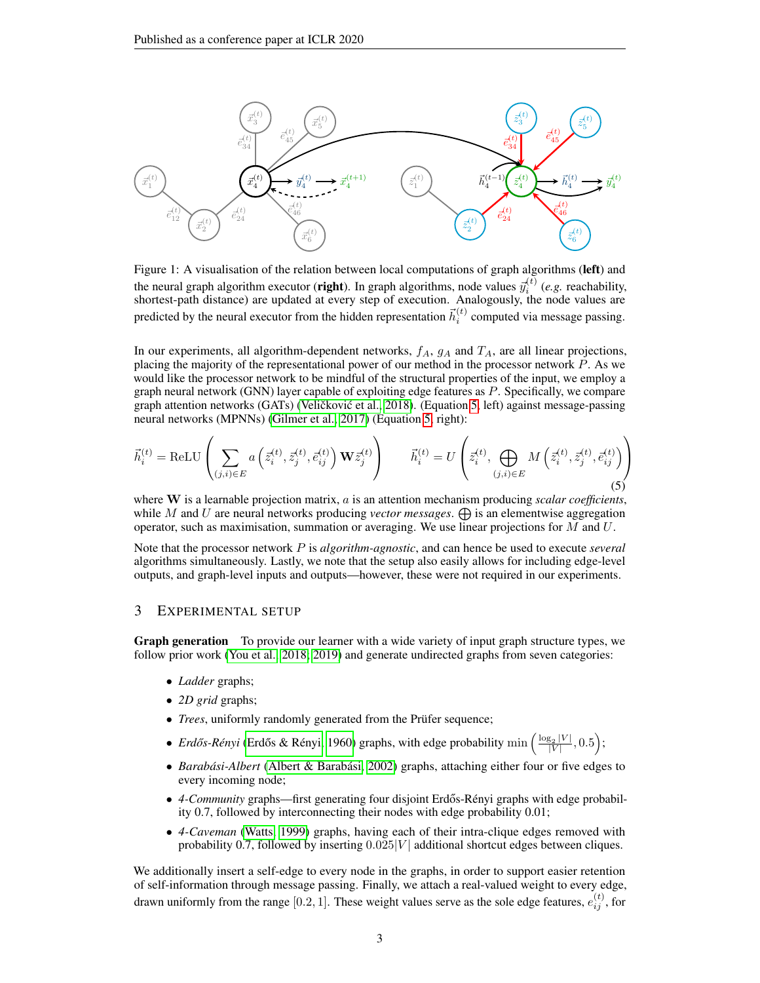<span id="page-2-0"></span>

Figure 1: A visualisation of the relation between local computations of graph algorithms (left) and the neural graph algorithm executor (**right**). In graph algorithms, node values  $\vec{y}_i^{(t)}$  (*e.g.* reachability, shortest-path distance) are updated at every step of execution. Analogously, the node values are predicted by the neural executor from the hidden representation  $\vec{h}_i^{(t)}$  computed via message passing.

In our experiments, all algorithm-dependent networks,  $f_A$ ,  $g_A$  and  $T_A$ , are all linear projections, placing the majority of the representational power of our method in the processor network  $P$ . As we would like the processor network to be mindful of the structural properties of the input, we employ a graph neural network (GNN) layer capable of exploiting edge features as P. Specifically, we compare graph attention networks (GATs) (Veličković et al., [2018\)](#page-10-3). (Equation [5,](#page-2-1) left) against message-passing neural networks (MPNNs) [\(Gilmer et al., 2017\)](#page-9-8) (Equation [5,](#page-2-1) right):

<span id="page-2-1"></span>
$$
\vec{h}_i^{(t)} = \text{ReLU}\left(\sum_{(j,i)\in E} a\left(\vec{z}_i^{(t)}, \vec{z}_j^{(t)}, \vec{e}_{ij}^{(t)}\right) \mathbf{W} \vec{z}_j^{(t)}\right) \qquad \vec{h}_i^{(t)} = U\left(\vec{z}_i^{(t)}, \bigoplus_{(j,i)\in E} M\left(\vec{z}_i^{(t)}, \vec{z}_j^{(t)}, \vec{e}_{ij}^{(t)}\right)\right)
$$
\n(5)

where W is a learnable projection matrix, a is an attention mechanism producing *scalar coefficients*, while M and U are neural networks producing *vector messages*.  $\bigoplus$  is an elementwise aggregation operator, such as maximisation, summation or averaging. We use linear projections for  $M$  and  $U$ .

Note that the processor network P is *algorithm-agnostic*, and can hence be used to execute *several* algorithms simultaneously. Lastly, we note that the setup also easily allows for including edge-level outputs, and graph-level inputs and outputs—however, these were not required in our experiments.

### 3 EXPERIMENTAL SETUP

Graph generation To provide our learner with a wide variety of input graph structure types, we follow prior work [\(You et al., 2018;](#page-10-5) [2019\)](#page-10-6) and generate undirected graphs from seven categories:

- *Ladder* graphs;
- *2D grid* graphs;
- *Trees*, uniformly randomly generated from the Prüfer sequence;
- *Erdős-Rényi* (Erdős & Rényi, 1960) graphs, with edge probability  $\min \left( \frac{\log_2 |V|}{|V|} \right)$  $\frac{g_2|V|}{|V|}, 0.5$ );
- *Barabási-Albert* [\(Albert & Barabási, 2002\)](#page-8-4) graphs, attaching either four or five edges to every incoming node;
- 4-Community graphs—first generating four disjoint Erdős-Rényi graphs with edge probability 0.7, followed by interconnecting their nodes with edge probability 0.01;
- *4-Caveman* [\(Watts, 1999\)](#page-10-7) graphs, having each of their intra-clique edges removed with probability 0.7, followed by inserting  $0.025|V|$  additional shortcut edges between cliques.

We additionally insert a self-edge to every node in the graphs, in order to support easier retention of self-information through message passing. Finally, we attach a real-valued weight to every edge, drawn uniformly from the range [0.2, 1]. These weight values serve as the sole edge features,  $e_{ij}^{(t)}$ , for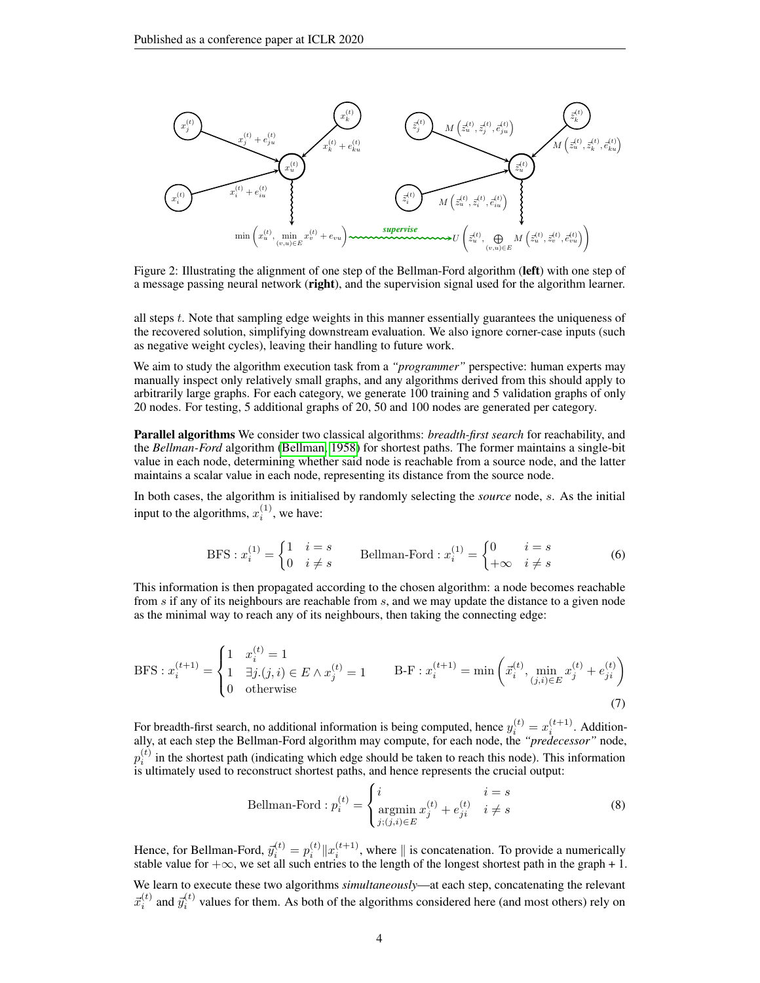<span id="page-3-0"></span>

Figure 2: Illustrating the alignment of one step of the Bellman-Ford algorithm (left) with one step of a message passing neural network (right), and the supervision signal used for the algorithm learner.

all steps t. Note that sampling edge weights in this manner essentially guarantees the uniqueness of the recovered solution, simplifying downstream evaluation. We also ignore corner-case inputs (such as negative weight cycles), leaving their handling to future work.

We aim to study the algorithm execution task from a *"programmer"* perspective: human experts may manually inspect only relatively small graphs, and any algorithms derived from this should apply to arbitrarily large graphs. For each category, we generate 100 training and 5 validation graphs of only 20 nodes. For testing, 5 additional graphs of 20, 50 and 100 nodes are generated per category.

Parallel algorithms We consider two classical algorithms: *breadth-first search* for reachability, and the *Bellman-Ford* algorithm [\(Bellman, 1958\)](#page-8-3) for shortest paths. The former maintains a single-bit value in each node, determining whether said node is reachable from a source node, and the latter maintains a scalar value in each node, representing its distance from the source node.

In both cases, the algorithm is initialised by randomly selecting the *source* node, s. As the initial input to the algorithms,  $x_i^{(1)}$ , we have:

$$
BFS: x_i^{(1)} = \begin{cases} 1 & i = s \\ 0 & i \neq s \end{cases}
$$
 Bellman-Ford:  $x_i^{(1)} = \begin{cases} 0 & i = s \\ +\infty & i \neq s \end{cases}$  (6)

This information is then propagated according to the chosen algorithm: a node becomes reachable from s if any of its neighbours are reachable from s, and we may update the distance to a given node as the minimal way to reach any of its neighbours, then taking the connecting edge:

BFS: 
$$
x_i^{(t+1)} = \begin{cases} 1 & x_i^{(t)} = 1 \\ 1 & \exists j.(j, i) \in E \land x_j^{(t)} = 1 \\ 0 & \text{otherwise} \end{cases}
$$
 B-F:  $x_i^{(t+1)} = \min \left( \vec{x}_i^{(t)}, \min_{(j,i) \in E} x_j^{(t)} + e_{ji}^{(t)} \right)$  (7)

For breadth-first search, no additional information is being computed, hence  $y_i^{(t)} = x_i^{(t+1)}$ . Additionally, at each step the Bellman-Ford algorithm may compute, for each node, the *"predecessor"* node,  $p_i^{(t)}$  in the shortest path (indicating which edge should be taken to reach this node). This information  $\overline{\mathbf{I}}_i$  is ultimately used to reconstruct shortest paths, and hence represents the crucial output:

Bellman-Ford : 
$$
p_i^{(t)} = \begin{cases} i & i = s \\ \operatorname*{argmin}_{j:(j,i) \in E} x_j^{(t)} + e_{ji}^{(t)} & i \neq s \end{cases}
$$
 (8)

Hence, for Bellman-Ford,  $\bar{y}_i^{(t)} = p_i^{(t)} \| x_i^{(t+1)}$ , where  $\|$  is concatenation. To provide a numerically stable value for  $+\infty$ , we set all such entries to the length of the longest shortest path in the graph + 1.

We learn to execute these two algorithms *simultaneously*—at each step, concatenating the relevant  $\vec{x}_i^{(t)}$  and  $\vec{y}_i^{(t)}$  values for them. As both of the algorithms considered here (and most others) rely on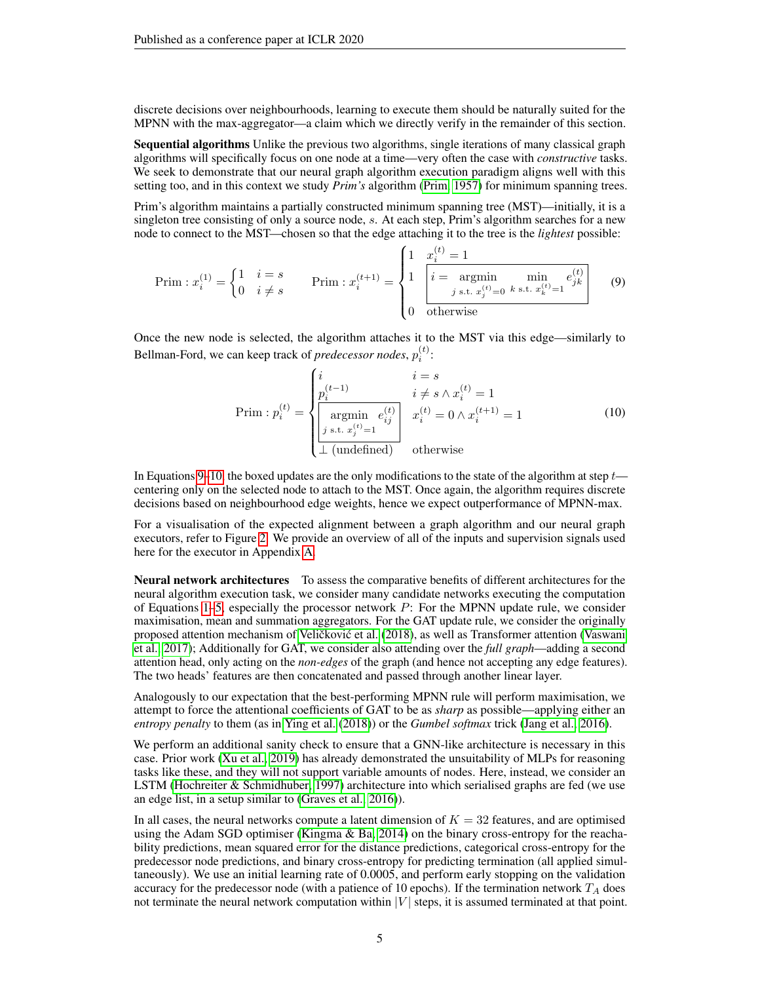discrete decisions over neighbourhoods, learning to execute them should be naturally suited for the MPNN with the max-aggregator—a claim which we directly verify in the remainder of this section.

Sequential algorithms Unlike the previous two algorithms, single iterations of many classical graph algorithms will specifically focus on one node at a time—very often the case with *constructive* tasks. We seek to demonstrate that our neural graph algorithm execution paradigm aligns well with this setting too, and in this context we study *Prim's* algorithm [\(Prim, 1957\)](#page-9-12) for minimum spanning trees.

Prim's algorithm maintains a partially constructed minimum spanning tree (MST)—initially, it is a singleton tree consisting of only a source node, s. At each step, Prim's algorithm searches for a new node to connect to the MST—chosen so that the edge attaching it to the tree is the *lightest* possible:

$$
\text{Prim}: x_i^{(1)} = \begin{cases} 1 & i = s \\ 0 & i \neq s \end{cases} \qquad \text{Prim}: x_i^{(t+1)} = \begin{cases} 1 & \frac{x_i^{(t)} = 1}{i} \\ 1 & \boxed{i = \text{argmin} \quad \min_{j \text{ s.t. } x_j^{(t)} = 0 \quad k \text{ s.t. } x_k^{(t)} = 1}} \quad (9) \\ 0 & \text{otherwise} \end{cases}
$$

Once the new node is selected, the algorithm attaches it to the MST via this edge—similarly to Bellman-Ford, we can keep track of *predecessor nodes*,  $p_i^{(t)}$ :

$$
\text{Prim}: p_i^{(t)} = \begin{cases} i & i = s \\ p_i^{(t-1)} & i \neq s \land x_i^{(t)} = 1 \\ \boxed{\text{argmin} \ e_{ij}^{(t)} \\ j \text{ s.t. } x_j^{(t)} = 1 \\ \bot \text{ (undefined)} \end{cases} x_i^{(t)} = 0 \land x_i^{(t+1)} = 1 \tag{10}
$$

<span id="page-4-1"></span><span id="page-4-0"></span> $(1)$ 

In Equations [9](#page-4-0)[–10,](#page-4-1) the boxed updates are the only modifications to the state of the algorithm at step  $t$  centering only on the selected node to attach to the MST. Once again, the algorithm requires discrete decisions based on neighbourhood edge weights, hence we expect outperformance of MPNN-max.

For a visualisation of the expected alignment between a graph algorithm and our neural graph executors, refer to Figure [2.](#page-3-0) We provide an overview of all of the inputs and supervision signals used here for the executor in Appendix [A.](#page-11-0)

Neural network architectures To assess the comparative benefits of different architectures for the neural algorithm execution task, we consider many candidate networks executing the computation of Equations [1–](#page-1-0)[5,](#page-2-1) especially the processor network P: For the MPNN update rule, we consider maximisation, mean and summation aggregators. For the GAT update rule, we consider the originally proposed attention mechanism of Veličković et al. [\(2018\)](#page-10-3), as well as Transformer attention [\(Vaswani](#page-9-15) [et al., 2017\)](#page-9-15); Additionally for GAT, we consider also attending over the *full graph*—adding a second attention head, only acting on the *non-edges* of the graph (and hence not accepting any edge features). The two heads' features are then concatenated and passed through another linear layer.

Analogously to our expectation that the best-performing MPNN rule will perform maximisation, we attempt to force the attentional coefficients of GAT to be as *sharp* as possible—applying either an *entropy penalty* to them (as in [Ying et al.](#page-10-8) [\(2018\)](#page-10-8)) or the *Gumbel softmax* trick [\(Jang et al., 2016\)](#page-9-16).

We perform an additional sanity check to ensure that a GNN-like architecture is necessary in this case. Prior work [\(Xu et al., 2019\)](#page-10-0) has already demonstrated the unsuitability of MLPs for reasoning tasks like these, and they will not support variable amounts of nodes. Here, instead, we consider an LSTM [\(Hochreiter & Schmidhuber, 1997\)](#page-9-17) architecture into which serialised graphs are fed (we use an edge list, in a setup similar to [\(Graves et al., 2016\)](#page-9-0)).

In all cases, the neural networks compute a latent dimension of  $K = 32$  features, and are optimised using the Adam SGD optimiser [\(Kingma & Ba, 2014\)](#page-9-18) on the binary cross-entropy for the reachability predictions, mean squared error for the distance predictions, categorical cross-entropy for the predecessor node predictions, and binary cross-entropy for predicting termination (all applied simultaneously). We use an initial learning rate of 0.0005, and perform early stopping on the validation accuracy for the predecessor node (with a patience of 10 epochs). If the termination network  $T_A$  does not terminate the neural network computation within  $|V|$  steps, it is assumed terminated at that point.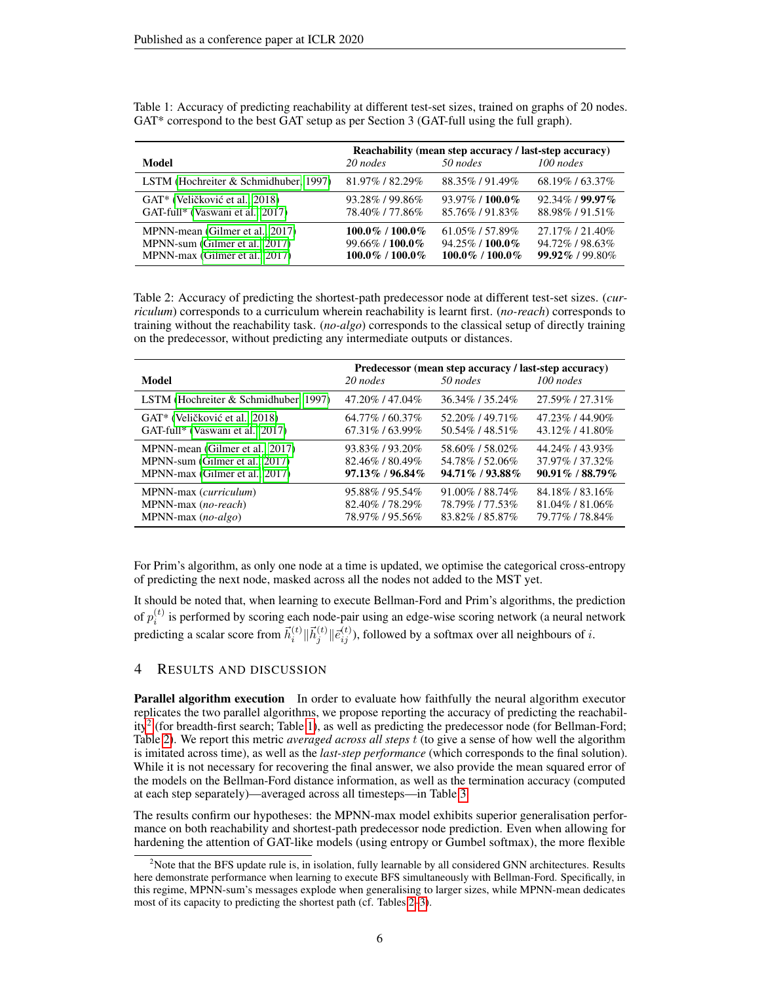|                                                                                                     | Reachability (mean step accuracy / last-step accuracy)               |                                                                    |                                                        |  |
|-----------------------------------------------------------------------------------------------------|----------------------------------------------------------------------|--------------------------------------------------------------------|--------------------------------------------------------|--|
| Model                                                                                               | 20 nodes                                                             | 50 nodes                                                           | $100$ nodes                                            |  |
| LSTM (Hochreiter & Schmidhuber, 1997)                                                               | 81.97%/82.29%                                                        | 88.35%/91.49%                                                      | 68.19%/63.37%                                          |  |
| GAT <sup>*</sup> (Veličković et al., 2018)<br>GAT-full* (Vaswani et al., 2017)                      | 93.28%/99.86%<br>78.40%/77.86%                                       | $93.97\%$ / 100.0%<br>85.76%/91.83%                                | $92.34\%$ / $99.97\%$<br>88.98%/91.51%                 |  |
| MPNN-mean (Gilmer et al., 2017)<br>MPNN-sum (Gilmer et al., 2017)<br>MPNN-max (Gilmer et al., 2017) | $100.0\%$ / $100.0\%$<br>$99.66\%$ / 100.0%<br>$100.0\%$ / $100.0\%$ | $61.05\%$ / 57.89\%<br>$94.25\%$ / 100.0%<br>$100.0\%$ / $100.0\%$ | 27.17% / 21.40%<br>94.72%/98.63%<br>$99.92\%$ / 99.80% |  |

<span id="page-5-1"></span>Table 1: Accuracy of predicting reachability at different test-set sizes, trained on graphs of 20 nodes. GAT\* correspond to the best GAT setup as per Section 3 (GAT-full using the full graph).

<span id="page-5-2"></span>Table 2: Accuracy of predicting the shortest-path predecessor node at different test-set sizes. (*curriculum*) corresponds to a curriculum wherein reachability is learnt first. (*no-reach*) corresponds to training without the reachability task. (*no-algo*) corresponds to the classical setup of directly training on the predecessor, without predicting any intermediate outputs or distances.

| Model                                      | 20 nodes              | Predecessor (mean step accuracy / last-step accuracy)<br>50 nodes | 100 nodes          |
|--------------------------------------------|-----------------------|-------------------------------------------------------------------|--------------------|
| LSTM (Hochreiter & Schmidhuber, 1997)      | 47.20%/47.04%         | 36.34\% / 35.24\%                                                 | 27.59%/27.31%      |
| GAT <sup>*</sup> (Veličković et al., 2018) | 64.77%/60.37%         | 52.20%/49.71%                                                     | 47.23%/44.90%      |
| GAT-full* (Vaswani et al., 2017)           | $67.31\%$ / $63.99\%$ | 50.54\% / 48.51\%                                                 | 43.12\% / 41.80\%  |
| MPNN-mean (Gilmer et al., 2017)            | 93.83%/93.20%         | 58.60%/58.02%                                                     | 44.24%/43.93%      |
| MPNN-sum (Gilmer et al., 2017)             | 82.46%/80.49%         | 54.78% / 52.06%                                                   | 37.97% / 37.32%    |
| MPNN-max (Gilmer et al., 2017)             | $97.13\%$ / 96.84%    | $94.71\%$ / $93.88\%$                                             | $90.91\%$ / 88.79% |
| MPNN-max ( <i>curriculum</i> )             | 95.88%/95.54%         | $91.00\%$ / 88.74%                                                | 84.18%/83.16%      |
| MPNN-max (no-reach)                        | 82.40%/78.29%         | 78.79% / 77.53%                                                   | 81.04%/81.06%      |
| MPNN-max $(no-algo)$                       | 78.97%/95.56%         | 83.82%/85.87%                                                     | 79.77% / 78.84%    |

For Prim's algorithm, as only one node at a time is updated, we optimise the categorical cross-entropy of predicting the next node, masked across all the nodes not added to the MST yet.

It should be noted that, when learning to execute Bellman-Ford and Prim's algorithms, the prediction of  $p_i^{(t)}$  is performed by scoring each node-pair using an edge-wise scoring network (a neural network predicting a scalar score from  $\vec{h}_i^{(t)} || \vec{h}_j^{(t)} || \vec{e}_{ij}^{(t)}$ ), followed by a softmax over all neighbours of  $i$ .

### 4 RESULTS AND DISCUSSION

Parallel algorithm execution In order to evaluate how faithfully the neural algorithm executor replicates the two parallel algorithms, we propose reporting the accuracy of predicting the reachabil-ity<sup>[2](#page-5-0)</sup> (for breadth-first search; Table [1\)](#page-5-1), as well as predicting the predecessor node (for Bellman-Ford; Table [2\)](#page-5-2). We report this metric *averaged across all steps* t (to give a sense of how well the algorithm is imitated across time), as well as the *last-step performance* (which corresponds to the final solution). While it is not necessary for recovering the final answer, we also provide the mean squared error of the models on the Bellman-Ford distance information, as well as the termination accuracy (computed at each step separately)—averaged across all timesteps—in Table [3.](#page-6-0)

The results confirm our hypotheses: the MPNN-max model exhibits superior generalisation performance on both reachability and shortest-path predecessor node prediction. Even when allowing for hardening the attention of GAT-like models (using entropy or Gumbel softmax), the more flexible

<span id="page-5-0"></span><sup>&</sup>lt;sup>2</sup>Note that the BFS update rule is, in isolation, fully learnable by all considered GNN architectures. Results here demonstrate performance when learning to execute BFS simultaneously with Bellman-Ford. Specifically, in this regime, MPNN-sum's messages explode when generalising to larger sizes, while MPNN-mean dedicates most of its capacity to predicting the shortest path (cf. Tables [2](#page-5-2)[–3\)](#page-6-0).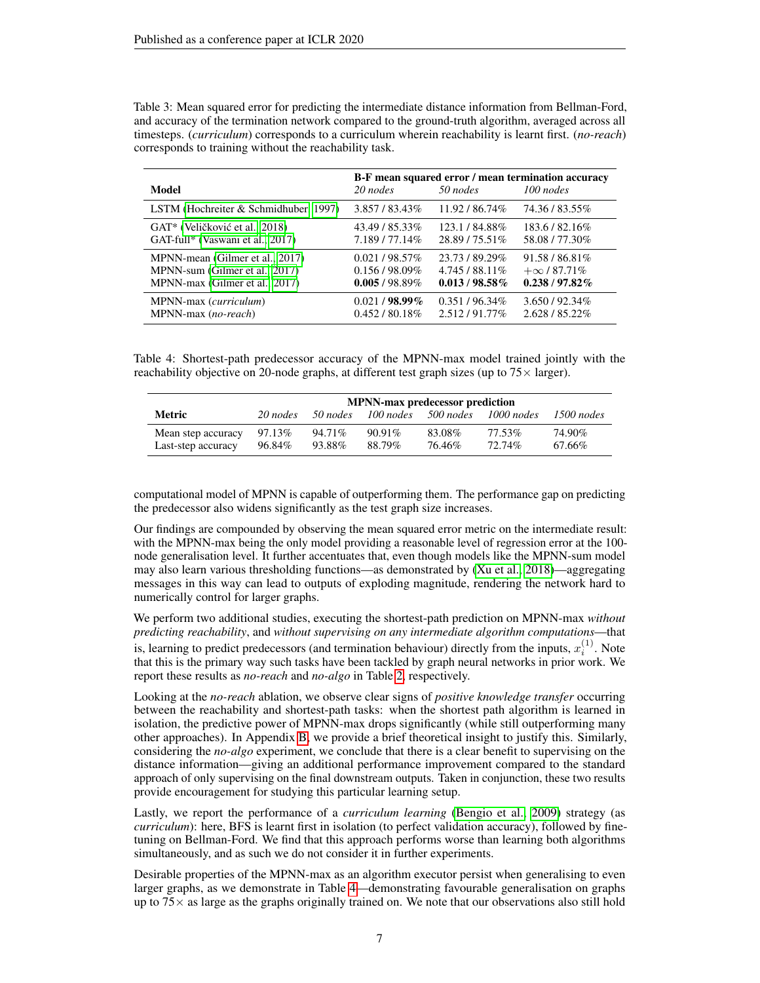| Model                                 | 20 nodes        | 50 nodes        | B-F mean squared error / mean termination accuracy<br>$100$ nodes |
|---------------------------------------|-----------------|-----------------|-------------------------------------------------------------------|
| LSTM (Hochreiter & Schmidhuber, 1997) | 3.857/83.43%    | 11.92/86.74%    | 74.36 / 83.55%                                                    |
| GAT* (Veličković et al., 2018)        | 43.49 / 85.33%  | 123.1/84.88%    | 183.6/82.16\%                                                     |
| GAT-full* (Vaswani et al., 2017)      | 7.189/77.14%    | $28.89/75.51\%$ | 58.08 / 77.30%                                                    |
| MPNN-mean (Gilmer et al., 2017)       | $0.021/98.57\%$ | 23.73 / 89.29%  | $91.58 / 86.81\%$                                                 |
| MPNN-sum (Gilmer et al., 2017)        | $0.156/98.09\%$ | $4.745/88.11\%$ | $+\infty$ / 87.71%                                                |
| MPNN-max (Gilmer et al., 2017)        | $0.005/98.89\%$ | $0.013/98.58\%$ | $0.238 / 97.82\%$                                                 |
| MPNN-max ( <i>curriculum</i> )        | $0.021/98.99\%$ | $0.351/96.34\%$ | 3.650/92.34%                                                      |
| MPNN-max (no-reach)                   | $0.452/80.18\%$ | 2.512/91.77%    | 2.628 / 85.22%                                                    |

<span id="page-6-0"></span>Table 3: Mean squared error for predicting the intermediate distance information from Bellman-Ford, and accuracy of the termination network compared to the ground-truth algorithm, averaged across all timesteps. (*curriculum*) corresponds to a curriculum wherein reachability is learnt first. (*no-reach*) corresponds to training without the reachability task.

<span id="page-6-1"></span>Table 4: Shortest-path predecessor accuracy of the MPNN-max model trained jointly with the reachability objective on 20-node graphs, at different test graph sizes (up to  $75\times$  larger).

|                                          | <b>MPNN-max predecessor prediction</b> |                  |                     |                  |                     |                  |
|------------------------------------------|----------------------------------------|------------------|---------------------|------------------|---------------------|------------------|
| Metric                                   | 20 nodes                               | 50 nodes         | 100 nodes           | 500 nodes        | 1000 nodes          | $1500$ nodes     |
| Mean step accuracy<br>Last-step accuracy | 97.13\%<br>96.84%                      | 94.71%<br>93.88% | $90.91\%$<br>88.79% | 83.08%<br>76.46% | 77.53%<br>$72.74\%$ | 74.90%<br>67.66% |

computational model of MPNN is capable of outperforming them. The performance gap on predicting the predecessor also widens significantly as the test graph size increases.

Our findings are compounded by observing the mean squared error metric on the intermediate result: with the MPNN-max being the only model providing a reasonable level of regression error at the 100 node generalisation level. It further accentuates that, even though models like the MPNN-sum model may also learn various thresholding functions—as demonstrated by [\(Xu et al., 2018\)](#page-10-9)—aggregating messages in this way can lead to outputs of exploding magnitude, rendering the network hard to numerically control for larger graphs.

We perform two additional studies, executing the shortest-path prediction on MPNN-max *without predicting reachability*, and *without supervising on any intermediate algorithm computations*—that is, learning to predict predecessors (and termination behaviour) directly from the inputs,  $x_i^{(1)}$ . Note that this is the primary way such tasks have been tackled by graph neural networks in prior work. We report these results as *no-reach* and *no-algo* in Table [2,](#page-5-2) respectively.

Looking at the *no-reach* ablation, we observe clear signs of *positive knowledge transfer* occurring between the reachability and shortest-path tasks: when the shortest path algorithm is learned in isolation, the predictive power of MPNN-max drops significantly (while still outperforming many other approaches). In Appendix [B,](#page-11-1) we provide a brief theoretical insight to justify this. Similarly, considering the *no-algo* experiment, we conclude that there is a clear benefit to supervising on the distance information—giving an additional performance improvement compared to the standard approach of only supervising on the final downstream outputs. Taken in conjunction, these two results provide encouragement for studying this particular learning setup.

Lastly, we report the performance of a *curriculum learning* [\(Bengio et al., 2009\)](#page-8-5) strategy (as *curriculum*): here, BFS is learnt first in isolation (to perfect validation accuracy), followed by finetuning on Bellman-Ford. We find that this approach performs worse than learning both algorithms simultaneously, and as such we do not consider it in further experiments.

Desirable properties of the MPNN-max as an algorithm executor persist when generalising to even larger graphs, as we demonstrate in Table [4—](#page-6-1)demonstrating favourable generalisation on graphs up to  $75\times$  as large as the graphs originally trained on. We note that our observations also still hold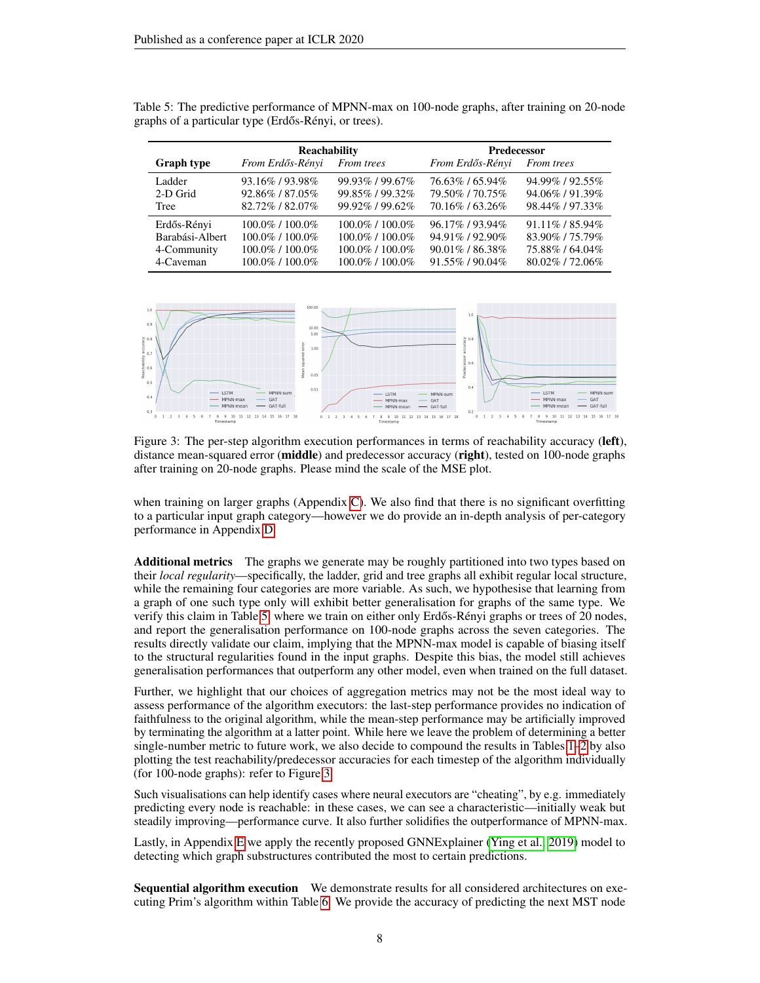|                   | Reachability          |                       | <b>Predecessor</b> |                     |  |
|-------------------|-----------------------|-----------------------|--------------------|---------------------|--|
| <b>Graph type</b> | From Erdős-Rényi      | From trees            | From Erdős-Rényi   | From trees          |  |
| Ladder            | 93.16%/93.98%         | 99.93%/99.67%         | 76.63%/65.94%      | 94.99%/92.55%       |  |
| 2-D Grid          | 92.86%/87.05%         | 99.85%/99.32%         | 79.50%/70.75%      | 94.06%/91.39%       |  |
| Tree              | 82.72%/82.07%         | 99.92%/99.62%         | 70.16%/63.26%      | 98.44% / 97.33%     |  |
| Erdős-Rényi       | $100.0\%$ / $100.0\%$ | $100.0\%$ / $100.0\%$ | 96.17%/93.94%      | $91.11\%$ / 85.94\% |  |
| Barabási-Albert   | $100.0\%$ / $100.0\%$ | $100.0\%$ / $100.0\%$ | 94.91%/92.90%      | 83.90%/75.79%       |  |
| 4-Community       | $100.0\%$ / $100.0\%$ | $100.0\%$ / $100.0\%$ | $90.01\%$ / 86.38% | 75.88%/64.04%       |  |
| 4-Caveman         | $100.0\%$ / $100.0\%$ | 100.0%/100.0%         | $91.55\%$ / 90.04% | $80.02\%$ / 72.06\% |  |

<span id="page-7-0"></span>Table 5: The predictive performance of MPNN-max on 100-node graphs, after training on 20-node graphs of a particular type (Erdős-Rényi, or trees).

<span id="page-7-1"></span>

Figure 3: The per-step algorithm execution performances in terms of reachability accuracy (left), distance mean-squared error (**middle**) and predecessor accuracy (**right**), tested on 100-node graphs after training on 20-node graphs. Please mind the scale of the MSE plot.

when training on larger graphs (Appendix [C\)](#page-11-2). We also find that there is no significant overfitting to a particular input graph category—however we do provide an in-depth analysis of per-category performance in Appendix [D.](#page-11-3)

Additional metrics The graphs we generate may be roughly partitioned into two types based on their *local regularity*—specifically, the ladder, grid and tree graphs all exhibit regular local structure, while the remaining four categories are more variable. As such, we hypothesise that learning from a graph of one such type only will exhibit better generalisation for graphs of the same type. We verify this claim in Table [5,](#page-7-0) where we train on either only Erdős-Rényi graphs or trees of 20 nodes, and report the generalisation performance on 100-node graphs across the seven categories. The results directly validate our claim, implying that the MPNN-max model is capable of biasing itself to the structural regularities found in the input graphs. Despite this bias, the model still achieves generalisation performances that outperform any other model, even when trained on the full dataset.

Further, we highlight that our choices of aggregation metrics may not be the most ideal way to assess performance of the algorithm executors: the last-step performance provides no indication of faithfulness to the original algorithm, while the mean-step performance may be artificially improved by terminating the algorithm at a latter point. While here we leave the problem of determining a better single-number metric to future work, we also decide to compound the results in Tables [1–](#page-5-1)[2](#page-5-2) by also plotting the test reachability/predecessor accuracies for each timestep of the algorithm individually (for 100-node graphs): refer to Figure [3.](#page-7-1)

Such visualisations can help identify cases where neural executors are "cheating", by e.g. immediately predicting every node is reachable: in these cases, we can see a characteristic—initially weak but steadily improving—performance curve. It also further solidifies the outperformance of MPNN-max.

Lastly, in Appendix [E](#page-12-0) we apply the recently proposed GNNExplainer [\(Ying et al., 2019\)](#page-10-10) model to detecting which graph substructures contributed the most to certain predictions.

Sequential algorithm execution We demonstrate results for all considered architectures on executing Prim's algorithm within Table [6.](#page-8-6) We provide the accuracy of predicting the next MST node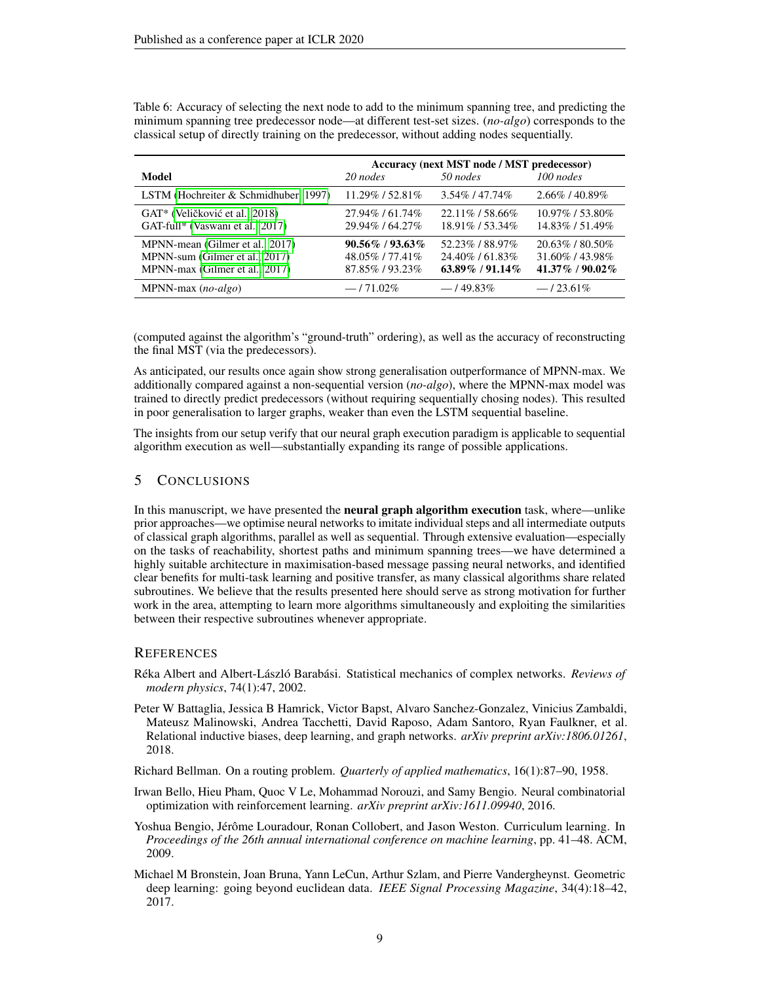|                                                                                                     | Accuracy (next MST node / MST predecessor)              |                                                          |                                                            |  |
|-----------------------------------------------------------------------------------------------------|---------------------------------------------------------|----------------------------------------------------------|------------------------------------------------------------|--|
| Model                                                                                               | 20 nodes                                                | 50 nodes                                                 | 100 nodes                                                  |  |
| LSTM (Hochreiter & Schmidhuber, 1997)                                                               | $11.29\%$ / 52.81\%                                     | 3.54\% / 47.74\%                                         | $2.66\%$ / 40.89%                                          |  |
| GAT <sup>*</sup> (Veličković et al., 2018)<br>GAT-full* (Vaswani et al., 2017)                      | 27.94%/61.74%<br>29.94%/64.27%                          | $22.11\%$ / 58.66\%<br>18.91%/53.34%                     | $10.97\%$ / 53.80\%<br>14.83%/51.49%                       |  |
| MPNN-mean (Gilmer et al., 2017)<br>MPNN-sum (Gilmer et al., 2017)<br>MPNN-max (Gilmer et al., 2017) | $90.56\%$ / $93.63\%$<br>48.05%/77.41%<br>87.85%/93.23% | 52.23%/88.97%<br>24.40\% / 61.83\%<br>$63.89\%$ / 91.14% | $20.63\%$ / 80.50\%<br>31.60%/43.98%<br>$41.37\%$ / 90.02% |  |
| MPNN-max $(no-algo)$                                                                                | $-171.02\%$                                             | $-149.83\%$                                              | $-123.61\%$                                                |  |

<span id="page-8-6"></span>Table 6: Accuracy of selecting the next node to add to the minimum spanning tree, and predicting the minimum spanning tree predecessor node—at different test-set sizes. (*no-algo*) corresponds to the classical setup of directly training on the predecessor, without adding nodes sequentially.

(computed against the algorithm's "ground-truth" ordering), as well as the accuracy of reconstructing the final MST (via the predecessors).

As anticipated, our results once again show strong generalisation outperformance of MPNN-max. We additionally compared against a non-sequential version (*no-algo*), where the MPNN-max model was trained to directly predict predecessors (without requiring sequentially chosing nodes). This resulted in poor generalisation to larger graphs, weaker than even the LSTM sequential baseline.

The insights from our setup verify that our neural graph execution paradigm is applicable to sequential algorithm execution as well—substantially expanding its range of possible applications.

### 5 CONCLUSIONS

In this manuscript, we have presented the **neural graph algorithm execution** task, where—unlike prior approaches—we optimise neural networks to imitate individual steps and all intermediate outputs of classical graph algorithms, parallel as well as sequential. Through extensive evaluation—especially on the tasks of reachability, shortest paths and minimum spanning trees—we have determined a highly suitable architecture in maximisation-based message passing neural networks, and identified clear benefits for multi-task learning and positive transfer, as many classical algorithms share related subroutines. We believe that the results presented here should serve as strong motivation for further work in the area, attempting to learn more algorithms simultaneously and exploiting the similarities between their respective subroutines whenever appropriate.

### **REFERENCES**

- <span id="page-8-4"></span>Réka Albert and Albert-László Barabási. Statistical mechanics of complex networks. *Reviews of modern physics*, 74(1):47, 2002.
- <span id="page-8-2"></span>Peter W Battaglia, Jessica B Hamrick, Victor Bapst, Alvaro Sanchez-Gonzalez, Vinicius Zambaldi, Mateusz Malinowski, Andrea Tacchetti, David Raposo, Adam Santoro, Ryan Faulkner, et al. Relational inductive biases, deep learning, and graph networks. *arXiv preprint arXiv:1806.01261*, 2018.
- <span id="page-8-3"></span>Richard Bellman. On a routing problem. *Quarterly of applied mathematics*, 16(1):87–90, 1958.
- <span id="page-8-0"></span>Irwan Bello, Hieu Pham, Quoc V Le, Mohammad Norouzi, and Samy Bengio. Neural combinatorial optimization with reinforcement learning. *arXiv preprint arXiv:1611.09940*, 2016.
- <span id="page-8-5"></span>Yoshua Bengio, Jérôme Louradour, Ronan Collobert, and Jason Weston. Curriculum learning. In *Proceedings of the 26th annual international conference on machine learning*, pp. 41–48. ACM, 2009.
- <span id="page-8-1"></span>Michael M Bronstein, Joan Bruna, Yann LeCun, Arthur Szlam, and Pierre Vandergheynst. Geometric deep learning: going beyond euclidean data. *IEEE Signal Processing Magazine*, 34(4):18–42, 2017.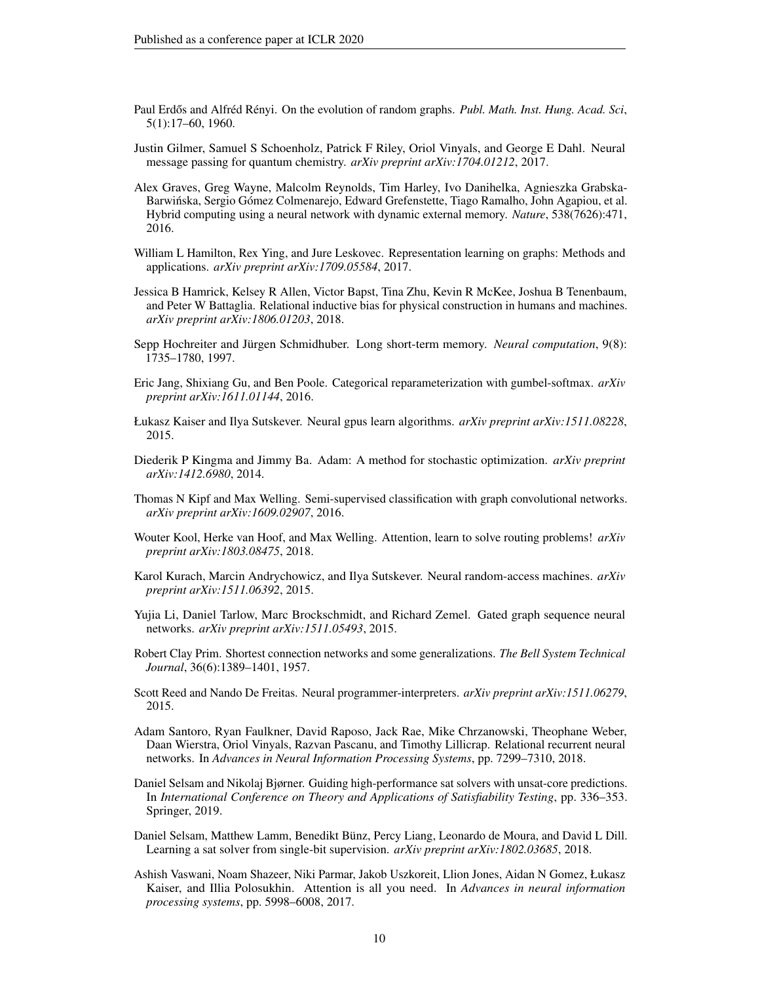- <span id="page-9-14"></span>Paul Erdős and Alfréd Rényi. On the evolution of random graphs. Publ. Math. Inst. Hung. Acad. Sci, 5(1):17–60, 1960.
- <span id="page-9-8"></span>Justin Gilmer, Samuel S Schoenholz, Patrick F Riley, Oriol Vinyals, and George E Dahl. Neural message passing for quantum chemistry. *arXiv preprint arXiv:1704.01212*, 2017.
- <span id="page-9-0"></span>Alex Graves, Greg Wayne, Malcolm Reynolds, Tim Harley, Ivo Danihelka, Agnieszka Grabska-Barwinska, Sergio Gómez Colmenarejo, Edward Grefenstette, Tiago Ramalho, John Agapiou, et al. ´ Hybrid computing using a neural network with dynamic external memory. *Nature*, 538(7626):471, 2016.
- <span id="page-9-5"></span>William L Hamilton, Rex Ying, and Jure Leskovec. Representation learning on graphs: Methods and applications. *arXiv preprint arXiv:1709.05584*, 2017.
- <span id="page-9-13"></span>Jessica B Hamrick, Kelsey R Allen, Victor Bapst, Tina Zhu, Kevin R McKee, Joshua B Tenenbaum, and Peter W Battaglia. Relational inductive bias for physical construction in humans and machines. *arXiv preprint arXiv:1806.01203*, 2018.
- <span id="page-9-17"></span>Sepp Hochreiter and Jürgen Schmidhuber. Long short-term memory. *Neural computation*, 9(8): 1735–1780, 1997.
- <span id="page-9-16"></span>Eric Jang, Shixiang Gu, and Ben Poole. Categorical reparameterization with gumbel-softmax. *arXiv preprint arXiv:1611.01144*, 2016.
- <span id="page-9-9"></span>Łukasz Kaiser and Ilya Sutskever. Neural gpus learn algorithms. *arXiv preprint arXiv:1511.08228*, 2015.
- <span id="page-9-18"></span>Diederik P Kingma and Jimmy Ba. Adam: A method for stochastic optimization. *arXiv preprint arXiv:1412.6980*, 2014.
- <span id="page-9-7"></span>Thomas N Kipf and Max Welling. Semi-supervised classification with graph convolutional networks. *arXiv preprint arXiv:1609.02907*, 2016.
- <span id="page-9-2"></span>Wouter Kool, Herke van Hoof, and Max Welling. Attention, learn to solve routing problems! *arXiv preprint arXiv:1803.08475*, 2018.
- <span id="page-9-10"></span>Karol Kurach, Marcin Andrychowicz, and Ilya Sutskever. Neural random-access machines. *arXiv preprint arXiv:1511.06392*, 2015.
- <span id="page-9-6"></span>Yujia Li, Daniel Tarlow, Marc Brockschmidt, and Richard Zemel. Gated graph sequence neural networks. *arXiv preprint arXiv:1511.05493*, 2015.
- <span id="page-9-12"></span>Robert Clay Prim. Shortest connection networks and some generalizations. *The Bell System Technical Journal*, 36(6):1389–1401, 1957.
- <span id="page-9-1"></span>Scott Reed and Nando De Freitas. Neural programmer-interpreters. *arXiv preprint arXiv:1511.06279*, 2015.
- <span id="page-9-11"></span>Adam Santoro, Ryan Faulkner, David Raposo, Jack Rae, Mike Chrzanowski, Theophane Weber, Daan Wierstra, Oriol Vinyals, Razvan Pascanu, and Timothy Lillicrap. Relational recurrent neural networks. In *Advances in Neural Information Processing Systems*, pp. 7299–7310, 2018.
- <span id="page-9-4"></span>Daniel Selsam and Nikolaj Bjørner. Guiding high-performance sat solvers with unsat-core predictions. In *International Conference on Theory and Applications of Satisfiability Testing*, pp. 336–353. Springer, 2019.
- <span id="page-9-3"></span>Daniel Selsam, Matthew Lamm, Benedikt Bünz, Percy Liang, Leonardo de Moura, and David L Dill. Learning a sat solver from single-bit supervision. *arXiv preprint arXiv:1802.03685*, 2018.
- <span id="page-9-15"></span>Ashish Vaswani, Noam Shazeer, Niki Parmar, Jakob Uszkoreit, Llion Jones, Aidan N Gomez, Łukasz Kaiser, and Illia Polosukhin. Attention is all you need. In *Advances in neural information processing systems*, pp. 5998–6008, 2017.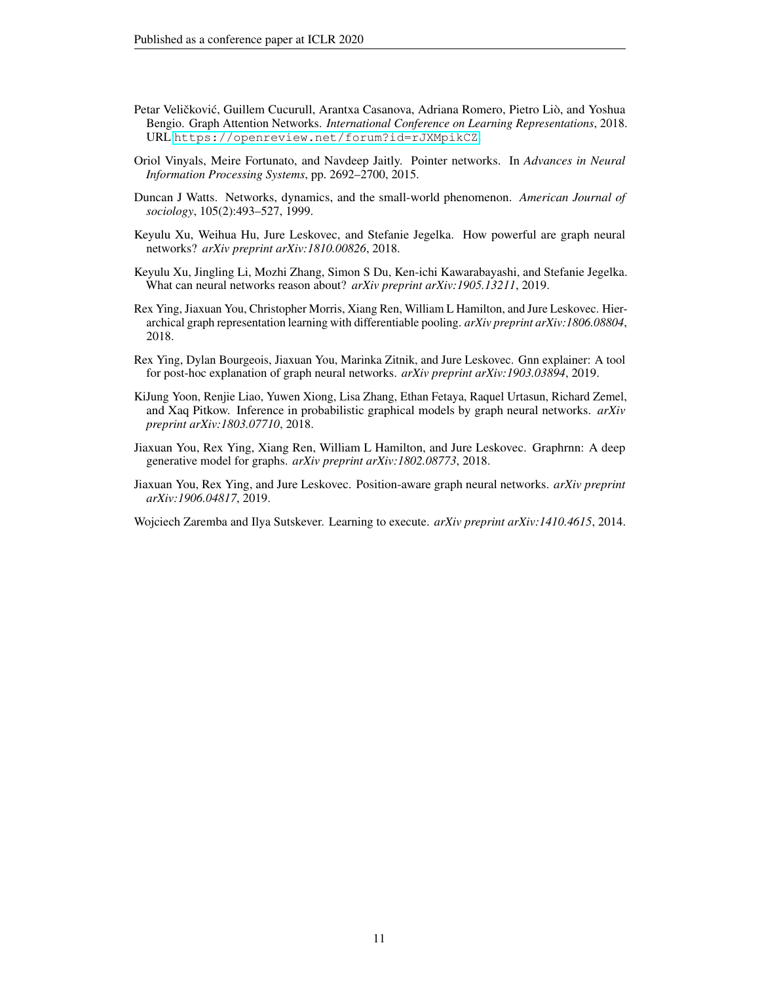- <span id="page-10-3"></span>Petar Veličković, Guillem Cucurull, Arantxa Casanova, Adriana Romero, Pietro Liò, and Yoshua Bengio. Graph Attention Networks. *International Conference on Learning Representations*, 2018. URL <https://openreview.net/forum?id=rJXMpikCZ>.
- <span id="page-10-1"></span>Oriol Vinyals, Meire Fortunato, and Navdeep Jaitly. Pointer networks. In *Advances in Neural Information Processing Systems*, pp. 2692–2700, 2015.
- <span id="page-10-7"></span>Duncan J Watts. Networks, dynamics, and the small-world phenomenon. *American Journal of sociology*, 105(2):493–527, 1999.
- <span id="page-10-9"></span>Keyulu Xu, Weihua Hu, Jure Leskovec, and Stefanie Jegelka. How powerful are graph neural networks? *arXiv preprint arXiv:1810.00826*, 2018.
- <span id="page-10-0"></span>Keyulu Xu, Jingling Li, Mozhi Zhang, Simon S Du, Ken-ichi Kawarabayashi, and Stefanie Jegelka. What can neural networks reason about? *arXiv preprint arXiv:1905.13211*, 2019.
- <span id="page-10-8"></span>Rex Ying, Jiaxuan You, Christopher Morris, Xiang Ren, William L Hamilton, and Jure Leskovec. Hierarchical graph representation learning with differentiable pooling. *arXiv preprint arXiv:1806.08804*, 2018.
- <span id="page-10-10"></span>Rex Ying, Dylan Bourgeois, Jiaxuan You, Marinka Zitnik, and Jure Leskovec. Gnn explainer: A tool for post-hoc explanation of graph neural networks. *arXiv preprint arXiv:1903.03894*, 2019.
- <span id="page-10-2"></span>KiJung Yoon, Renjie Liao, Yuwen Xiong, Lisa Zhang, Ethan Fetaya, Raquel Urtasun, Richard Zemel, and Xaq Pitkow. Inference in probabilistic graphical models by graph neural networks. *arXiv preprint arXiv:1803.07710*, 2018.
- <span id="page-10-5"></span>Jiaxuan You, Rex Ying, Xiang Ren, William L Hamilton, and Jure Leskovec. Graphrnn: A deep generative model for graphs. *arXiv preprint arXiv:1802.08773*, 2018.
- <span id="page-10-6"></span>Jiaxuan You, Rex Ying, and Jure Leskovec. Position-aware graph neural networks. *arXiv preprint arXiv:1906.04817*, 2019.

<span id="page-10-4"></span>Wojciech Zaremba and Ilya Sutskever. Learning to execute. *arXiv preprint arXiv:1410.4615*, 2014.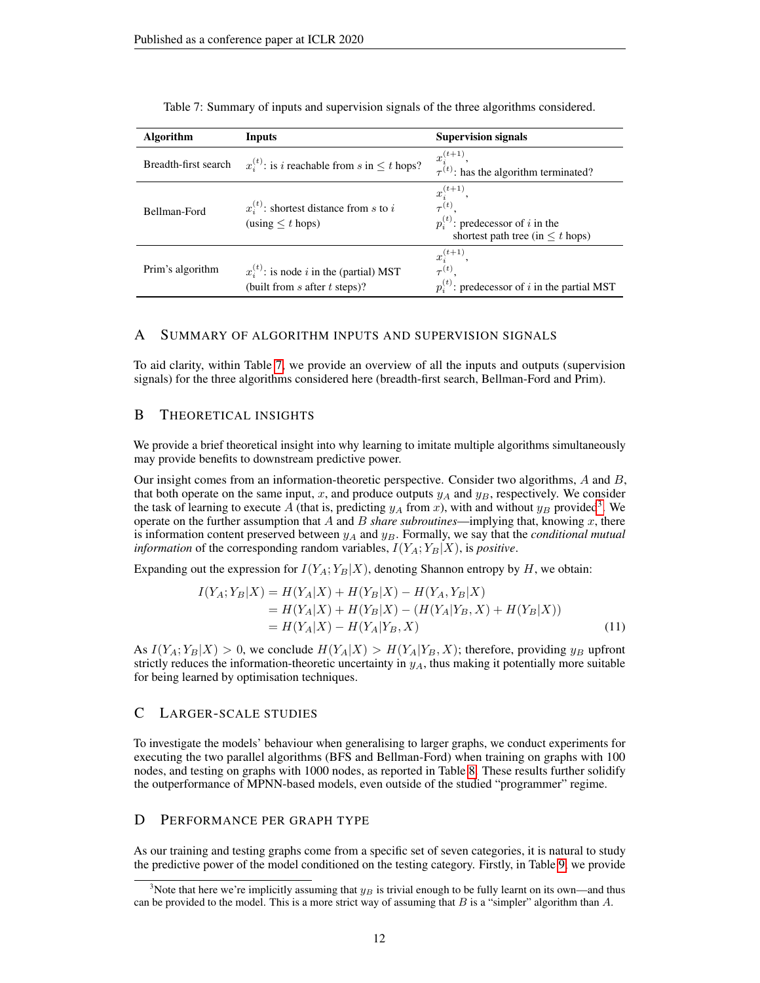| <b>Algorithm</b>     | Inputs                                                                                   | <b>Supervision signals</b>                                                                                                 |
|----------------------|------------------------------------------------------------------------------------------|----------------------------------------------------------------------------------------------------------------------------|
| Breadth-first search | $x_i^{(t)}$ : is <i>i</i> reachable from <i>s</i> in $\leq t$ hops?                      | $x_i^{(t+1)}$ ,<br>$\tau^{(t)}$ : has the algorithm terminated?                                                            |
| Bellman-Ford         | $x_i^{(t)}$ : shortest distance from s to i<br>$\text{(using} < t \text{ hops)}$         | $x_i^{(t+1)}$ ,<br>$\tau^{(t)}$ .<br>$p_i^{(t)}$ : predecessor of <i>i</i> in the<br>shortest path tree (in $\leq t$ hops) |
| Prim's algorithm     | $x_i^{(t)}$ : is node <i>i</i> in the (partial) MST<br>(built from $s$ after $t$ steps)? | $x_i^{(t+1)},$<br>$\tau^{(t)}$<br>$p_i^{(t)}$ : predecessor of i in the partial MST                                        |

<span id="page-11-4"></span>Table 7: Summary of inputs and supervision signals of the three algorithms considered.

### <span id="page-11-0"></span>A SUMMARY OF ALGORITHM INPUTS AND SUPERVISION SIGNALS

To aid clarity, within Table [7,](#page-11-4) we provide an overview of all the inputs and outputs (supervision signals) for the three algorithms considered here (breadth-first search, Bellman-Ford and Prim).

#### <span id="page-11-1"></span>B THEORETICAL INSIGHTS

We provide a brief theoretical insight into why learning to imitate multiple algorithms simultaneously may provide benefits to downstream predictive power.

Our insight comes from an information-theoretic perspective. Consider two algorithms, A and B, that both operate on the same input, x, and produce outputs  $y_A$  and  $y_B$ , respectively. We consider the task of learning to execute A (that is, predicting  $y_A$  from x), with and without  $y_B$  provided<sup>[3](#page-11-5)</sup>. We operate on the further assumption that  $A$  and  $B$  *share subroutines*—implying that, knowing  $x$ , there is information content preserved between  $y_A$  and  $y_B$ . Formally, we say that the *conditional mutual information* of the corresponding random variables,  $I(Y_A; Y_B|X)$ , is *positive*.

Expanding out the expression for  $I(Y_A; Y_B|X)$ , denoting Shannon entropy by H, we obtain:

$$
I(Y_A; Y_B|X) = H(Y_A|X) + H(Y_B|X) - H(Y_A, Y_B|X)
$$
  
= H(Y\_A|X) + H(Y\_B|X) - (H(Y\_A|Y\_B, X) + H(Y\_B|X))  
= H(Y\_A|X) - H(Y\_A|Y\_B, X) (11)

As  $I(Y_A; Y_B|X) > 0$ , we conclude  $H(Y_A|X) > H(Y_A|Y_B, X)$ ; therefore, providing  $y_B$  upfront strictly reduces the information-theoretic uncertainty in  $y_A$ , thus making it potentially more suitable for being learned by optimisation techniques.

### <span id="page-11-2"></span>C LARGER-SCALE STUDIES

To investigate the models' behaviour when generalising to larger graphs, we conduct experiments for executing the two parallel algorithms (BFS and Bellman-Ford) when training on graphs with 100 nodes, and testing on graphs with 1000 nodes, as reported in Table [8.](#page-12-1) These results further solidify the outperformance of MPNN-based models, even outside of the studied "programmer" regime.

### <span id="page-11-3"></span>D PERFORMANCE PER GRAPH TYPE

As our training and testing graphs come from a specific set of seven categories, it is natural to study the predictive power of the model conditioned on the testing category. Firstly, in Table [9,](#page-12-2) we provide

<span id="page-11-5"></span><sup>&</sup>lt;sup>3</sup>Note that here we're implicitly assuming that  $y_B$  is trivial enough to be fully learnt on its own—and thus can be provided to the model. This is a more strict way of assuming that  $B$  is a "simpler" algorithm than  $A$ .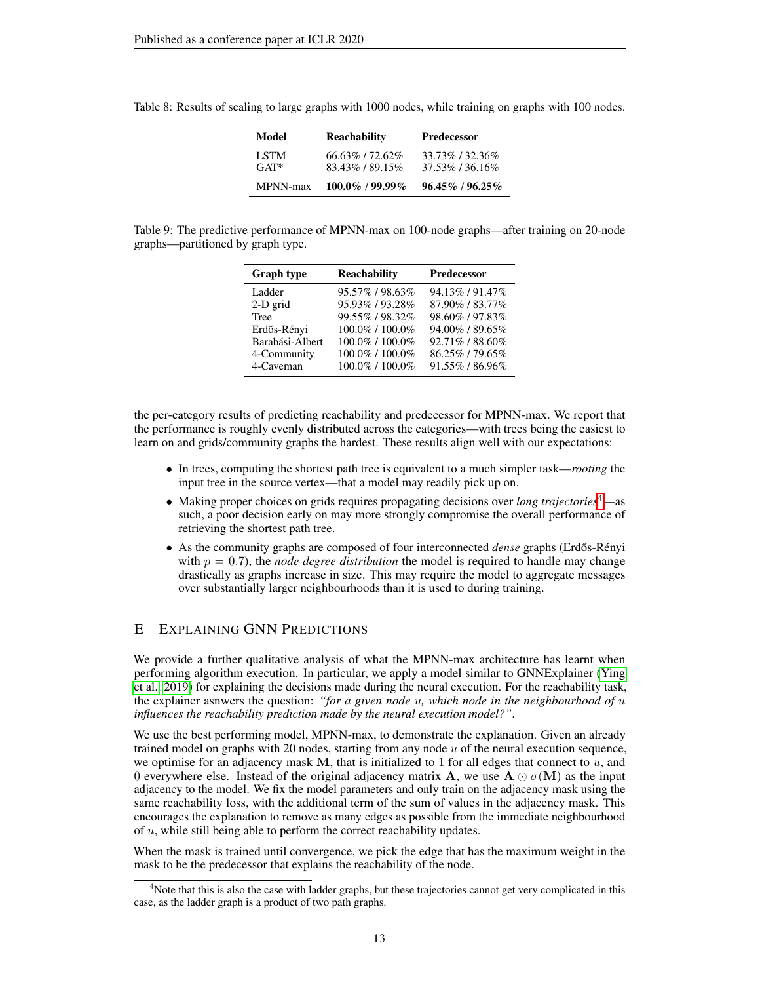| Model                 | <b>Reachability</b>            | <b>Predecessor</b>             |
|-----------------------|--------------------------------|--------------------------------|
| <b>LSTM</b><br>$GAT*$ | 66.63%/72.62%<br>83.43%/89.15% | 33.73%/32.36%<br>37.53%/36.16% |
| <b>MPNN-max</b>       | $100.0\%$ / 99.99%             | $96.45\%$ / $96.25\%$          |

<span id="page-12-1"></span>Table 8: Results of scaling to large graphs with 1000 nodes, while training on graphs with 100 nodes.

<span id="page-12-2"></span>

|                                   | Table 9: The predictive performance of MPNN-max on 100-node graphs—after training on 20-node |  |  |
|-----------------------------------|----------------------------------------------------------------------------------------------|--|--|
| graphs—partitioned by graph type. |                                                                                              |  |  |

| <b>Graph type</b> | <b>Reachability</b> | <b>Predecessor</b> |
|-------------------|---------------------|--------------------|
| Ladder            | 95.57%/98.63%       | 94.13% / 91.47%    |
| 2-D grid          | 95.93% / 93.28%     | 87.90% / 83.77%    |
| <b>Tree</b>       | 99.55%/98.32%       | 98.60% / 97.83%    |
| Erdős-Rényi       | 100.0% / 100.0%     | 94.00%/89.65%      |
| Barabási-Albert   | 100.0% / 100.0%     | 92.71% / 88.60%    |
| 4-Community       | 100.0% / 100.0%     | 86.25% / 79.65%    |
| 4-Caveman         | 100.0% / 100.0%     | 91.55% / 86.96%    |

the per-category results of predicting reachability and predecessor for MPNN-max. We report that the performance is roughly evenly distributed across the categories—with trees being the easiest to learn on and grids/community graphs the hardest. These results align well with our expectations:

- In trees, computing the shortest path tree is equivalent to a much simpler task—*rooting* the input tree in the source vertex—that a model may readily pick up on.
- Making proper choices on grids requires propagating decisions over *long trajectories*[4](#page-12-3)—as such, a poor decision early on may more strongly compromise the overall performance of retrieving the shortest path tree.
- As the community graphs are composed of four interconnected *dense* graphs (Erdős-Rényi with  $p = 0.7$ ), the *node degree distribution* the model is required to handle may change drastically as graphs increase in size. This may require the model to aggregate messages over substantially larger neighbourhoods than it is used to during training.

## <span id="page-12-0"></span>E EXPLAINING GNN PREDICTIONS

We provide a further qualitative analysis of what the MPNN-max architecture has learnt when performing algorithm execution. In particular, we apply a model similar to GNNExplainer [\(Ying](#page-10-10) [et al., 2019\)](#page-10-10) for explaining the decisions made during the neural execution. For the reachability task, the explainer asnwers the question: *"for a given node* u*, which node in the neighbourhood of* u *influences the reachability prediction made by the neural execution model?"*.

We use the best performing model, MPNN-max, to demonstrate the explanation. Given an already trained model on graphs with 20 nodes, starting from any node  $u$  of the neural execution sequence, we optimise for an adjacency mask M, that is initialized to 1 for all edges that connect to  $u$ , and 0 everywhere else. Instead of the original adjacency matrix **A**, we use  $\mathbf{A} \odot \sigma(\mathbf{M})$  as the input adjacency to the model. We fix the model parameters and only train on the adjacency mask using the same reachability loss, with the additional term of the sum of values in the adjacency mask. This encourages the explanation to remove as many edges as possible from the immediate neighbourhood of u, while still being able to perform the correct reachability updates.

When the mask is trained until convergence, we pick the edge that has the maximum weight in the mask to be the predecessor that explains the reachability of the node.

<span id="page-12-3"></span><sup>&</sup>lt;sup>4</sup>Note that this is also the case with ladder graphs, but these trajectories cannot get very complicated in this case, as the ladder graph is a product of two path graphs.